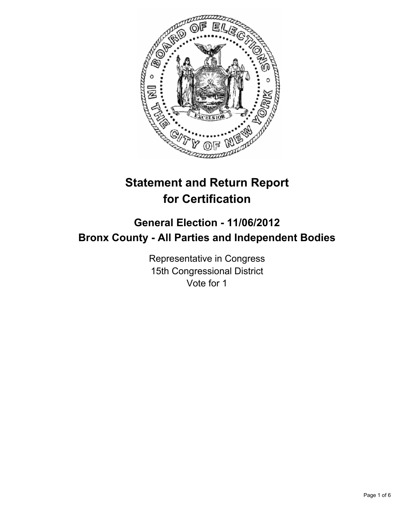

# **Statement and Return Report for Certification**

# **General Election - 11/06/2012 Bronx County - All Parties and Independent Bodies**

Representative in Congress 15th Congressional District Vote for 1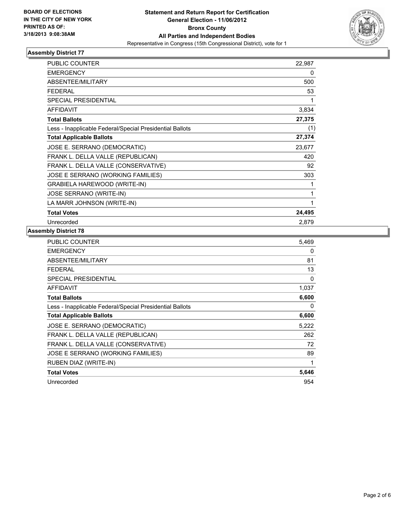

| PUBLIC COUNTER                                           | 22,987 |
|----------------------------------------------------------|--------|
| <b>EMERGENCY</b>                                         | 0      |
| <b>ABSENTEE/MILITARY</b>                                 | 500    |
| FEDERAL                                                  | 53     |
| <b>SPECIAL PRESIDENTIAL</b>                              | 1      |
| <b>AFFIDAVIT</b>                                         | 3,834  |
| <b>Total Ballots</b>                                     | 27,375 |
| Less - Inapplicable Federal/Special Presidential Ballots | (1)    |
| <b>Total Applicable Ballots</b>                          | 27,374 |
| JOSE E. SERRANO (DEMOCRATIC)                             | 23,677 |
| FRANK L. DELLA VALLE (REPUBLICAN)                        | 420    |
| FRANK L. DELLA VALLE (CONSERVATIVE)                      | 92     |
| JOSE E SERRANO (WORKING FAMILIES)                        | 303    |
| GRABIELA HAREWOOD (WRITE-IN)                             |        |
| <b>JOSE SERRANO (WRITE-IN)</b>                           |        |
| LA MARR JOHNSON (WRITE-IN)                               | 1      |
| <b>Total Votes</b>                                       | 24,495 |
| Unrecorded                                               | 2,879  |

| <b>PUBLIC COUNTER</b>                                    | 5,469 |
|----------------------------------------------------------|-------|
| <b>EMERGENCY</b>                                         | 0     |
| ABSENTEE/MILITARY                                        | 81    |
| FEDERAL                                                  | 13    |
| SPECIAL PRESIDENTIAL                                     | 0     |
| AFFIDAVIT                                                | 1,037 |
| <b>Total Ballots</b>                                     | 6,600 |
| Less - Inapplicable Federal/Special Presidential Ballots | 0     |
| <b>Total Applicable Ballots</b>                          | 6,600 |
| JOSE E. SERRANO (DEMOCRATIC)                             | 5,222 |
| FRANK L. DELLA VALLE (REPUBLICAN)                        | 262   |
| FRANK L. DELLA VALLE (CONSERVATIVE)                      | 72    |
| JOSE E SERRANO (WORKING FAMILIES)                        | 89    |
|                                                          |       |
| RUBEN DIAZ (WRITE-IN)                                    | 1     |
| <b>Total Votes</b>                                       | 5,646 |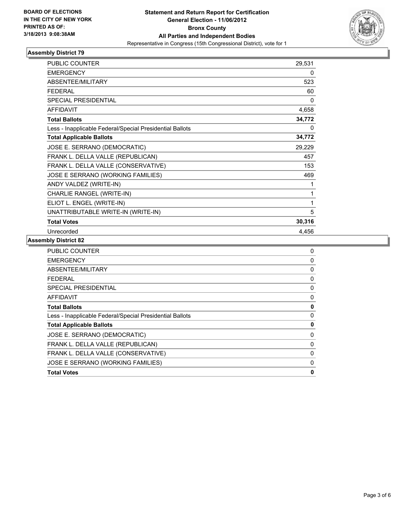

| <b>PUBLIC COUNTER</b>                                    | 29,531 |
|----------------------------------------------------------|--------|
| <b>EMERGENCY</b>                                         | 0      |
| <b>ABSENTEE/MILITARY</b>                                 | 523    |
| <b>FEDERAL</b>                                           | 60     |
| <b>SPECIAL PRESIDENTIAL</b>                              | 0      |
| <b>AFFIDAVIT</b>                                         | 4,658  |
| <b>Total Ballots</b>                                     | 34,772 |
| Less - Inapplicable Federal/Special Presidential Ballots | 0      |
| <b>Total Applicable Ballots</b>                          | 34,772 |
| JOSE E. SERRANO (DEMOCRATIC)                             | 29,229 |
| FRANK L. DELLA VALLE (REPUBLICAN)                        | 457    |
| FRANK L. DELLA VALLE (CONSERVATIVE)                      | 153    |
| JOSE E SERRANO (WORKING FAMILIES)                        | 469    |
| ANDY VALDEZ (WRITE-IN)                                   | 1      |
| CHARLIE RANGEL (WRITE-IN)                                | 1      |
| ELIOT L. ENGEL (WRITE-IN)                                | 1      |
| UNATTRIBUTABLE WRITE-IN (WRITE-IN)                       | 5      |
| <b>Total Votes</b>                                       | 30,316 |
| Unrecorded                                               | 4,456  |

| 0        |
|----------|
| $\Omega$ |
| 0        |
| 0        |
| 0        |
| 0        |
| 0        |
| 0        |
| 0        |
| 0        |
| 0        |
| 0        |
| 0        |
| 0        |
|          |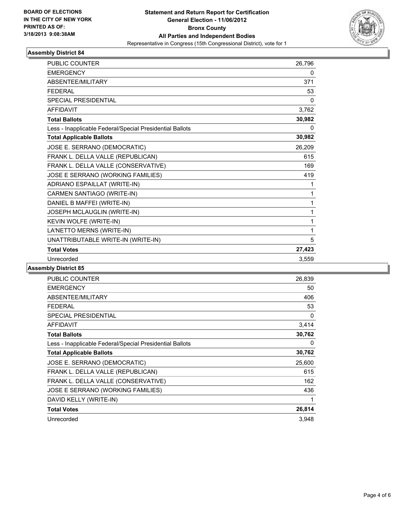

| <b>PUBLIC COUNTER</b>                                    | 26,796 |
|----------------------------------------------------------|--------|
| <b>EMERGENCY</b>                                         | 0      |
| ABSENTEE/MILITARY                                        | 371    |
| <b>FEDERAL</b>                                           | 53     |
| <b>SPECIAL PRESIDENTIAL</b>                              | 0      |
| <b>AFFIDAVIT</b>                                         | 3,762  |
| <b>Total Ballots</b>                                     | 30,982 |
| Less - Inapplicable Federal/Special Presidential Ballots | 0      |
| <b>Total Applicable Ballots</b>                          | 30,982 |
| JOSE E. SERRANO (DEMOCRATIC)                             | 26,209 |
| FRANK L. DELLA VALLE (REPUBLICAN)                        | 615    |
| FRANK L. DELLA VALLE (CONSERVATIVE)                      | 169    |
| JOSE E SERRANO (WORKING FAMILIES)                        | 419    |
| ADRIANO ESPAILLAT (WRITE-IN)                             | 1      |
| CARMEN SANTIAGO (WRITE-IN)                               | 1      |
| DANIEL B MAFFEI (WRITE-IN)                               | 1      |
| <b>JOSEPH MCLAUGLIN (WRITE-IN)</b>                       | 1      |
| KEVIN WOLFE (WRITE-IN)                                   | 1      |
| LA'NETTO MERNS (WRITE-IN)                                | 1      |
| UNATTRIBUTABLE WRITE-IN (WRITE-IN)                       | 5      |
| <b>Total Votes</b>                                       | 27,423 |
| Unrecorded                                               | 3,559  |

| <b>PUBLIC COUNTER</b>                                    | 26,839 |
|----------------------------------------------------------|--------|
| <b>EMERGENCY</b>                                         | 50     |
| ABSENTEE/MILITARY                                        | 406    |
| <b>FEDERAL</b>                                           | 53     |
| <b>SPECIAL PRESIDENTIAL</b>                              | 0      |
| <b>AFFIDAVIT</b>                                         | 3,414  |
| <b>Total Ballots</b>                                     | 30,762 |
| Less - Inapplicable Federal/Special Presidential Ballots | 0      |
| <b>Total Applicable Ballots</b>                          | 30,762 |
| JOSE E. SERRANO (DEMOCRATIC)                             | 25,600 |
| FRANK L. DELLA VALLE (REPUBLICAN)                        | 615    |
| FRANK L. DELLA VALLE (CONSERVATIVE)                      | 162    |
| JOSE E SERRANO (WORKING FAMILIES)                        | 436    |
| DAVID KELLY (WRITE-IN)                                   | 1      |
| <b>Total Votes</b>                                       | 26,814 |
| Unrecorded                                               | 3,948  |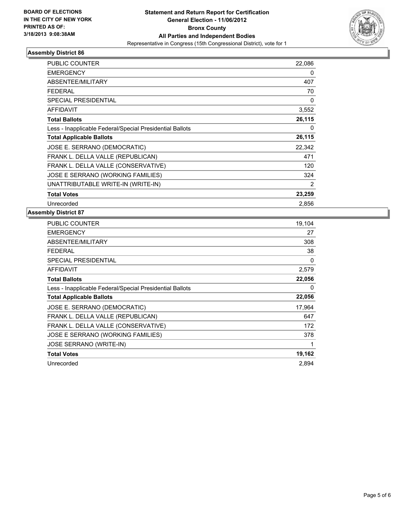

| <b>PUBLIC COUNTER</b>                                    | 22,086 |
|----------------------------------------------------------|--------|
| <b>EMERGENCY</b>                                         | 0      |
| ABSENTEE/MILITARY                                        | 407    |
| <b>FEDERAL</b>                                           | 70     |
| SPECIAL PRESIDENTIAL                                     | 0      |
| <b>AFFIDAVIT</b>                                         | 3,552  |
| <b>Total Ballots</b>                                     | 26,115 |
| Less - Inapplicable Federal/Special Presidential Ballots | 0      |
| <b>Total Applicable Ballots</b>                          | 26,115 |
| JOSE E. SERRANO (DEMOCRATIC)                             | 22,342 |
| FRANK L. DELLA VALLE (REPUBLICAN)                        | 471    |
| FRANK L. DELLA VALLE (CONSERVATIVE)                      | 120    |
| JOSE E SERRANO (WORKING FAMILIES)                        | 324    |
| UNATTRIBUTABLE WRITE-IN (WRITE-IN)                       | 2      |
| <b>Total Votes</b>                                       | 23,259 |
| Unrecorded                                               | 2,856  |

| PUBLIC COUNTER                                           | 19,104 |
|----------------------------------------------------------|--------|
| EMERGENCY                                                | 27     |
| ABSENTEE/MILITARY                                        | 308    |
| <b>FEDERAL</b>                                           | 38     |
| SPECIAL PRESIDENTIAL                                     | 0      |
| <b>AFFIDAVIT</b>                                         | 2,579  |
| <b>Total Ballots</b>                                     | 22,056 |
| Less - Inapplicable Federal/Special Presidential Ballots | 0      |
| <b>Total Applicable Ballots</b>                          | 22,056 |
|                                                          |        |
| JOSE E. SERRANO (DEMOCRATIC)                             | 17,964 |
| FRANK L. DELLA VALLE (REPUBLICAN)                        | 647    |
| FRANK L. DELLA VALLE (CONSERVATIVE)                      | 172    |
| JOSE E SERRANO (WORKING FAMILIES)                        | 378    |
| <b>JOSE SERRANO (WRITE-IN)</b>                           | 1      |
| <b>Total Votes</b>                                       | 19,162 |